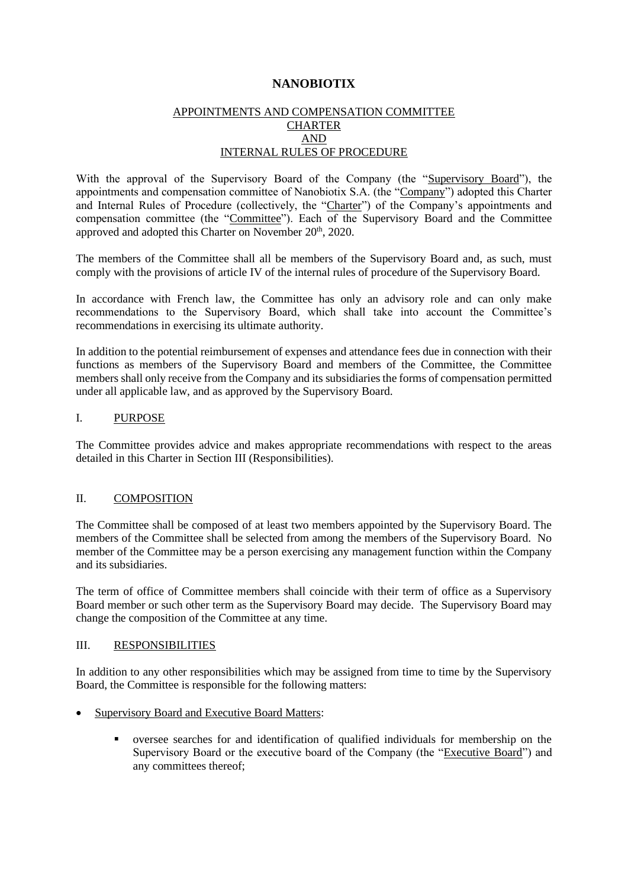# **NANOBIOTIX**

### APPOINTMENTS AND COMPENSATION COMMITTEE **CHARTER** AND INTERNAL RULES OF PROCEDURE

With the approval of the Supervisory Board of the Company (the "Supervisory Board"), the appointments and compensation committee of Nanobiotix S.A. (the "Company") adopted this Charter and Internal Rules of Procedure (collectively, the "Charter") of the Company's appointments and compensation committee (the "Committee"). Each of the Supervisory Board and the Committee approved and adopted this Charter on November 20<sup>th</sup>, 2020.

The members of the Committee shall all be members of the Supervisory Board and, as such, must comply with the provisions of article IV of the internal rules of procedure of the Supervisory Board.

In accordance with French law, the Committee has only an advisory role and can only make recommendations to the Supervisory Board, which shall take into account the Committee's recommendations in exercising its ultimate authority.

In addition to the potential reimbursement of expenses and attendance fees due in connection with their functions as members of the Supervisory Board and members of the Committee, the Committee members shall only receive from the Company and its subsidiaries the forms of compensation permitted under all applicable law, and as approved by the Supervisory Board.

### I. PURPOSE

The Committee provides advice and makes appropriate recommendations with respect to the areas detailed in this Charter in Section III (Responsibilities).

#### II. COMPOSITION

The Committee shall be composed of at least two members appointed by the Supervisory Board. The members of the Committee shall be selected from among the members of the Supervisory Board. No member of the Committee may be a person exercising any management function within the Company and its subsidiaries.

The term of office of Committee members shall coincide with their term of office as a Supervisory Board member or such other term as the Supervisory Board may decide. The Supervisory Board may change the composition of the Committee at any time.

### III. RESPONSIBILITIES

In addition to any other responsibilities which may be assigned from time to time by the Supervisory Board, the Committee is responsible for the following matters:

- Supervisory Board and Executive Board Matters:
	- oversee searches for and identification of qualified individuals for membership on the Supervisory Board or the executive board of the Company (the "Executive Board") and any committees thereof;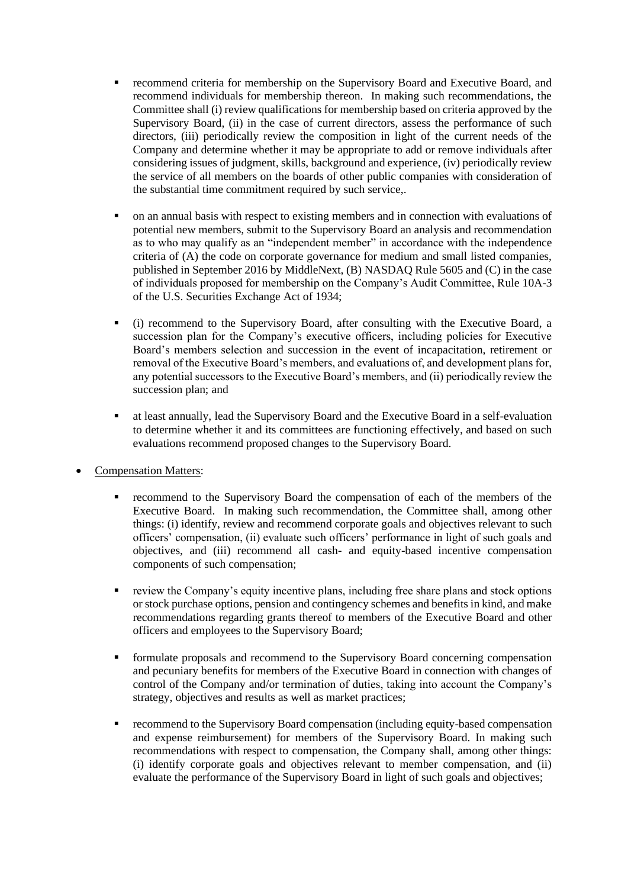- recommend criteria for membership on the Supervisory Board and Executive Board, and recommend individuals for membership thereon. In making such recommendations, the Committee shall (i) review qualifications for membership based on criteria approved by the Supervisory Board, (ii) in the case of current directors, assess the performance of such directors, (iii) periodically review the composition in light of the current needs of the Company and determine whether it may be appropriate to add or remove individuals after considering issues of judgment, skills, background and experience, (iv) periodically review the service of all members on the boards of other public companies with consideration of the substantial time commitment required by such service,.
- on an annual basis with respect to existing members and in connection with evaluations of potential new members, submit to the Supervisory Board an analysis and recommendation as to who may qualify as an "independent member" in accordance with the independence criteria of (A) the code on corporate governance for medium and small listed companies, published in September 2016 by MiddleNext, (B) NASDAQ Rule 5605 and (C) in the case of individuals proposed for membership on the Company's Audit Committee, Rule 10A-3 of the U.S. Securities Exchange Act of 1934;
- (i) recommend to the Supervisory Board, after consulting with the Executive Board, a succession plan for the Company's executive officers, including policies for Executive Board's members selection and succession in the event of incapacitation, retirement or removal of the Executive Board's members, and evaluations of, and development plans for, any potential successors to the Executive Board's members, and (ii) periodically review the succession plan; and
- at least annually, lead the Supervisory Board and the Executive Board in a self-evaluation to determine whether it and its committees are functioning effectively, and based on such evaluations recommend proposed changes to the Supervisory Board.
- Compensation Matters:
	- recommend to the Supervisory Board the compensation of each of the members of the Executive Board. In making such recommendation, the Committee shall, among other things: (i) identify, review and recommend corporate goals and objectives relevant to such officers' compensation, (ii) evaluate such officers' performance in light of such goals and objectives, and (iii) recommend all cash- and equity-based incentive compensation components of such compensation;
	- review the Company's equity incentive plans, including free share plans and stock options or stock purchase options, pension and contingency schemes and benefits in kind, and make recommendations regarding grants thereof to members of the Executive Board and other officers and employees to the Supervisory Board;
	- formulate proposals and recommend to the Supervisory Board concerning compensation and pecuniary benefits for members of the Executive Board in connection with changes of control of the Company and/or termination of duties, taking into account the Company's strategy, objectives and results as well as market practices;
	- recommend to the Supervisory Board compensation (including equity-based compensation and expense reimbursement) for members of the Supervisory Board. In making such recommendations with respect to compensation, the Company shall, among other things: (i) identify corporate goals and objectives relevant to member compensation, and (ii) evaluate the performance of the Supervisory Board in light of such goals and objectives;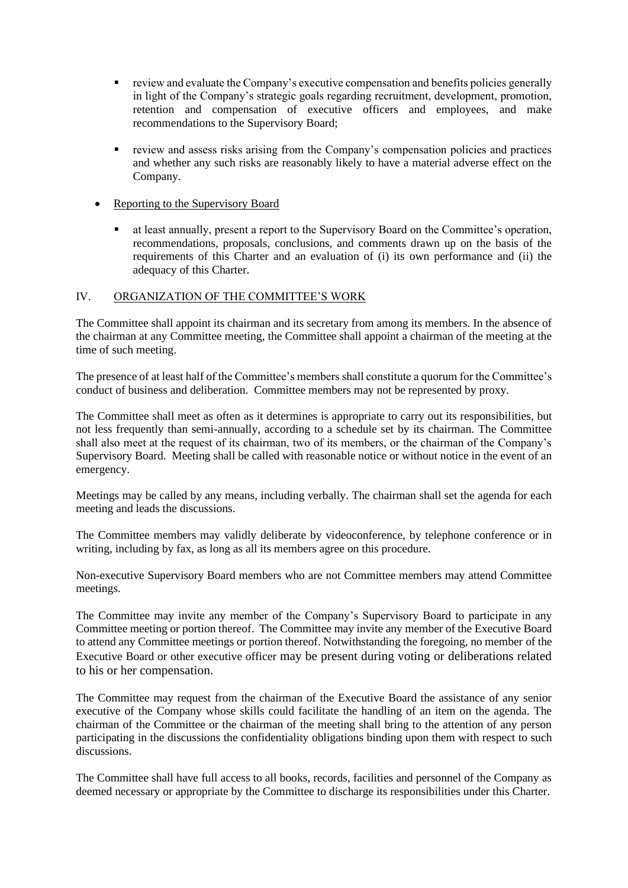- review and evaluate the Company's executive compensation and benefits policies generally in light of the Company's strategic goals regarding recruitment, development, promotion, retention and compensation of executive officers and employees, and make recommendations to the Supervisory Board;
- **EXECUTE:** review and assess risks arising from the Company's compensation policies and practices and whether any such risks are reasonably likely to have a material adverse effect on the Company.
- Reporting to the Supervisory Board
	- at least annually, present a report to the Supervisory Board on the Committee's operation, recommendations, proposals, conclusions, and comments drawn up on the basis of the requirements of this Charter and an evaluation of (i) its own performance and (ii) the adequacy of this Charter.

### IV. ORGANIZATION OF THE COMMITTEE'S WORK

The Committee shall appoint its chairman and its secretary from among its members. In the absence of the chairman at any Committee meeting, the Committee shall appoint a chairman of the meeting at the time of such meeting.

The presence of at least half of the Committee's members shall constitute a quorum for the Committee's conduct of business and deliberation. Committee members may not be represented by proxy.

The Committee shall meet as often as it determines is appropriate to carry out its responsibilities, but not less frequently than semi-annually, according to a schedule set by its chairman. The Committee shall also meet at the request of its chairman, two of its members, or the chairman of the Company's Supervisory Board. Meeting shall be called with reasonable notice or without notice in the event of an emergency.

Meetings may be called by any means, including verbally. The chairman shall set the agenda for each meeting and leads the discussions.

The Committee members may validly deliberate by videoconference, by telephone conference or in writing, including by fax, as long as all its members agree on this procedure.

Non-executive Supervisory Board members who are not Committee members may attend Committee meetings.

The Committee may invite any member of the Company's Supervisory Board to participate in any Committee meeting or portion thereof. The Committee may invite any member of the Executive Board to attend any Committee meetings or portion thereof. Notwithstanding the foregoing, no member of the Executive Board or other executive officer may be present during voting or deliberations related to his or her compensation.

The Committee may request from the chairman of the Executive Board the assistance of any senior executive of the Company whose skills could facilitate the handling of an item on the agenda. The chairman of the Committee or the chairman of the meeting shall bring to the attention of any person participating in the discussions the confidentiality obligations binding upon them with respect to such discussions.

The Committee shall have full access to all books, records, facilities and personnel of the Company as deemed necessary or appropriate by the Committee to discharge its responsibilities under this Charter.